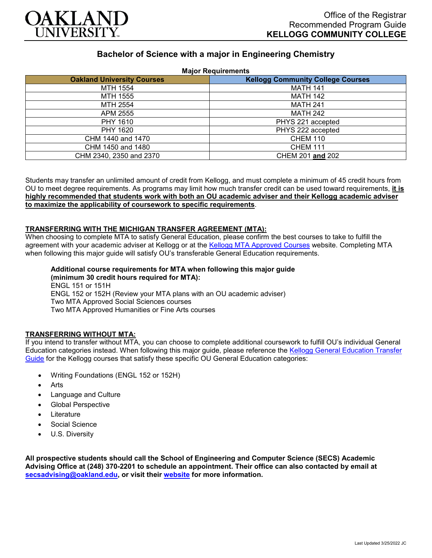

# **Bachelor of Science with a major in Engineering Chemistry**

| <b>Major Requirements</b>         |                                          |
|-----------------------------------|------------------------------------------|
| <b>Oakland University Courses</b> | <b>Kellogg Community College Courses</b> |
| MTH 1554                          | <b>MATH 141</b>                          |
| MTH 1555                          | <b>MATH 142</b>                          |
| MTH 2554                          | <b>MATH 241</b>                          |
| APM 2555                          | <b>MATH 242</b>                          |
| PHY 1610                          | PHYS 221 accepted                        |
| PHY 1620                          | PHYS 222 accepted                        |
| CHM 1440 and 1470                 | <b>CHEM 110</b>                          |
| CHM 1450 and 1480                 | <b>CHEM 111</b>                          |
| CHM 2340, 2350 and 2370           | CHEM 201 and 202                         |

Students may transfer an unlimited amount of credit from Kellogg, and must complete a minimum of 45 credit hours from OU to meet degree requirements. As programs may limit how much transfer credit can be used toward requirements, **it is highly recommended that students work with both an OU academic adviser and their Kellogg academic adviser to maximize the applicability of coursework to specific requirements**.

#### **TRANSFERRING WITH THE MICHIGAN TRANSFER AGREEMENT (MTA):**

When choosing to complete MTA to satisfy General Education, please confirm the best courses to take to fulfill the agreement with your academic adviser at Kellogg or at the [Kellogg MTA Approved Courses](http://catalog.kellogg.edu/content.php?catoid=18&navoid=790#michigan-transfer-agreement) website. Completing MTA when following this major guide will satisfy OU's transferable General Education requirements.

#### **Additional course requirements for MTA when following this major guide (minimum 30 credit hours required for MTA):**

ENGL 151 or 151H ENGL 152 or 152H (Review your MTA plans with an OU academic adviser) Two MTA Approved Social Sciences courses Two MTA Approved Humanities or Fine Arts courses

### **TRANSFERRING WITHOUT MTA:**

If you intend to transfer without MTA, you can choose to complete additional coursework to fulfill OU's individual General Education categories instead. When following this major guide, please reference the [Kellogg General Education Transfer](https://www.oakland.edu/Assets/Oakland/program-guides/kellogg-community-college/university-general-education-requirements/Kellogg%20Gen%20Ed.pdf)  [Guide](https://www.oakland.edu/Assets/Oakland/program-guides/kellogg-community-college/university-general-education-requirements/Kellogg%20Gen%20Ed.pdf) for the Kellogg courses that satisfy these specific OU General Education categories:

- Writing Foundations (ENGL 152 or 152H)
- **Arts**
- Language and Culture
- Global Perspective
- **Literature**
- Social Science
- U.S. Diversity

**All prospective students should call the School of Engineering and Computer Science (SECS) Academic Advising Office at (248) 370-2201 to schedule an appointment. Their office can also contacted by email at [secsadvising@oakland.edu,](mailto:secsadvising@oakland.edu) or visit their [website](https://wwwp.oakland.edu/secs/advising/) for more information.**